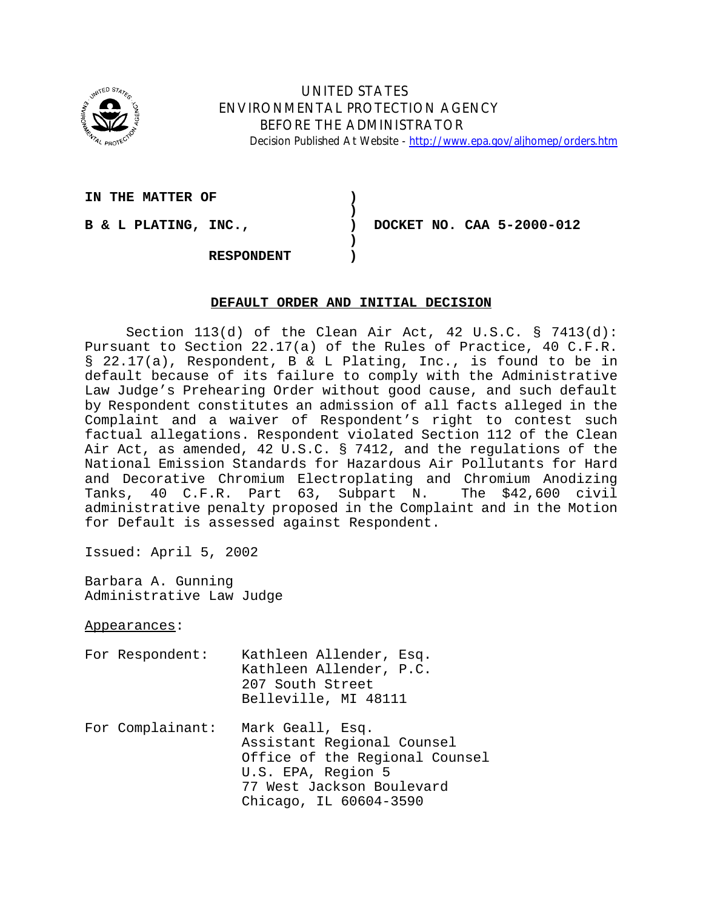

# UNITED STATES ENVIRONMENTAL PROTECTION AGENCY BEFORE THE ADMINISTRATOR Decision Published At Website - http://www.epa.gov/aljhomep/orders.htm

IN THE MATTER OF  $\qquad \qquad$ 

**B & L PLATING, INC., ) DOCKET NO. CAA 5-2000-012** 

**RESPONDENT )** 

# **DEFAULT ORDER AND INITIAL DECISION**

**)** 

**)**

Section 113(d) of the Clean Air Act, 42 U.S.C. § 7413(d): Pursuant to Section 22.17(a) of the Rules of Practice, 40 C.F.R. § 22.17(a), Respondent, B & L Plating, Inc., is found to be in default because of its failure to comply with the Administrative Law Judge's Prehearing Order without good cause, and such default by Respondent constitutes an admission of all facts alleged in the Complaint and a waiver of Respondent's right to contest such factual allegations. Respondent violated Section 112 of the Clean Air Act, as amended, 42 U.S.C. § 7412, and the regulations of the National Emission Standards for Hazardous Air Pollutants for Hard and Decorative Chromium Electroplating and Chromium Anodizing Tanks, 40 C.F.R. Part 63, Subpart N. The \$42,600 civil administrative penalty proposed in the Complaint and in the Motion for Default is assessed against Respondent.

Issued: April 5, 2002

Barbara A. Gunning Administrative Law Judge

Appearances:

- For Respondent: Kathleen Allender, Esq. Kathleen Allender, P.C. 207 South Street Belleville, MI 48111
- For Complainant: Mark Geall, Esq. Assistant Regional Counsel Office of the Regional Counsel U.S. EPA, Region 5 77 West Jackson Boulevard Chicago, IL 60604-3590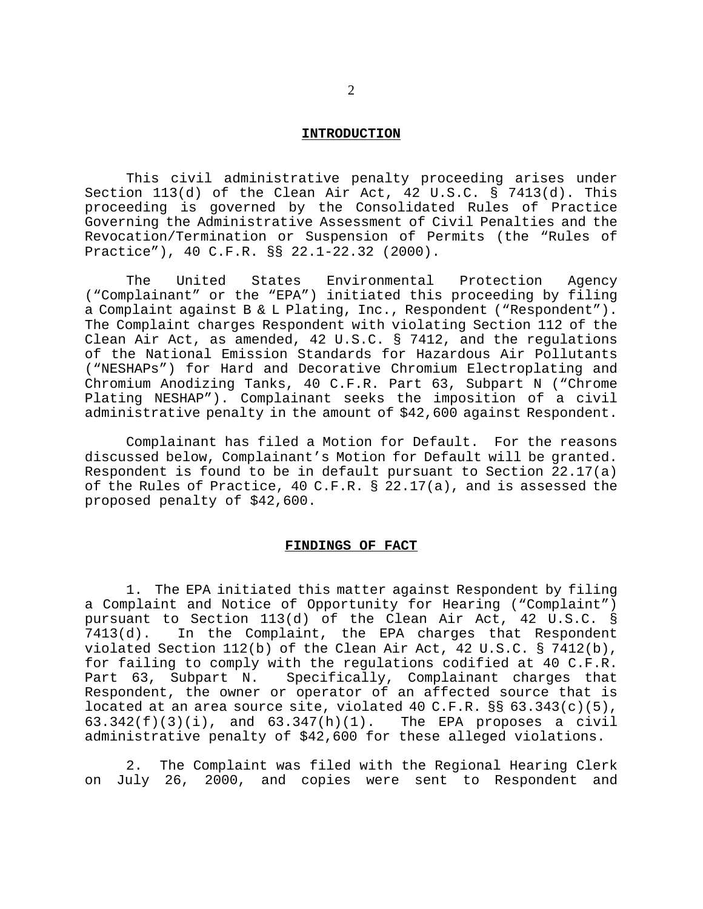### **INTRODUCTION**

This civil administrative penalty proceeding arises under Section 113(d) of the Clean Air Act, 42 U.S.C. § 7413(d). This proceeding is governed by the Consolidated Rules of Practice Governing the Administrative Assessment of Civil Penalties and the Revocation/Termination or Suspension of Permits (the "Rules of Practice"), 40 C.F.R. §§ 22.1-22.32 (2000).

The United States Environmental Protection Agency ("Complainant" or the "EPA") initiated this proceeding by filing a Complaint against B & L Plating, Inc., Respondent ("Respondent"). The Complaint charges Respondent with violating Section 112 of the Clean Air Act, as amended, 42 U.S.C. § 7412, and the regulations of the National Emission Standards for Hazardous Air Pollutants ("NESHAPs") for Hard and Decorative Chromium Electroplating and Chromium Anodizing Tanks, 40 C.F.R. Part 63, Subpart N ("Chrome Plating NESHAP"). Complainant seeks the imposition of a civil administrative penalty in the amount of \$42,600 against Respondent.

Complainant has filed a Motion for Default. For the reasons discussed below, Complainant's Motion for Default will be granted. Respondent is found to be in default pursuant to Section 22.17(a) of the Rules of Practice, 40 C.F.R. § 22.17(a), and is assessed the proposed penalty of \$42,600.

## **FINDINGS OF FACT**

1. The EPA initiated this matter against Respondent by filing a Complaint and Notice of Opportunity for Hearing ("Complaint") pursuant to Section 113(d) of the Clean Air Act, 42 U.S.C. § 7413(d). In the Complaint, the EPA charges that Respondent violated Section 112(b) of the Clean Air Act, 42 U.S.C. § 7412(b), for failing to comply with the regulations codified at 40 C.F.R. Part 63, Subpart N. Specifically, Complainant charges that Respondent, the owner or operator of an affected source that is located at an area source site, violated 40 C.F.R.  $\S$ § 63.343(c)(5), 63.342(f)(3)(i), and 63.347(h)(1). The EPA proposes a civil  $63.342(f)(3)(i)$ , and  $63.347(h)(1)$ . administrative penalty of \$42,600 for these alleged violations.

2. The Complaint was filed with the Regional Hearing Clerk on July 26, 2000, and copies were sent to Respondent and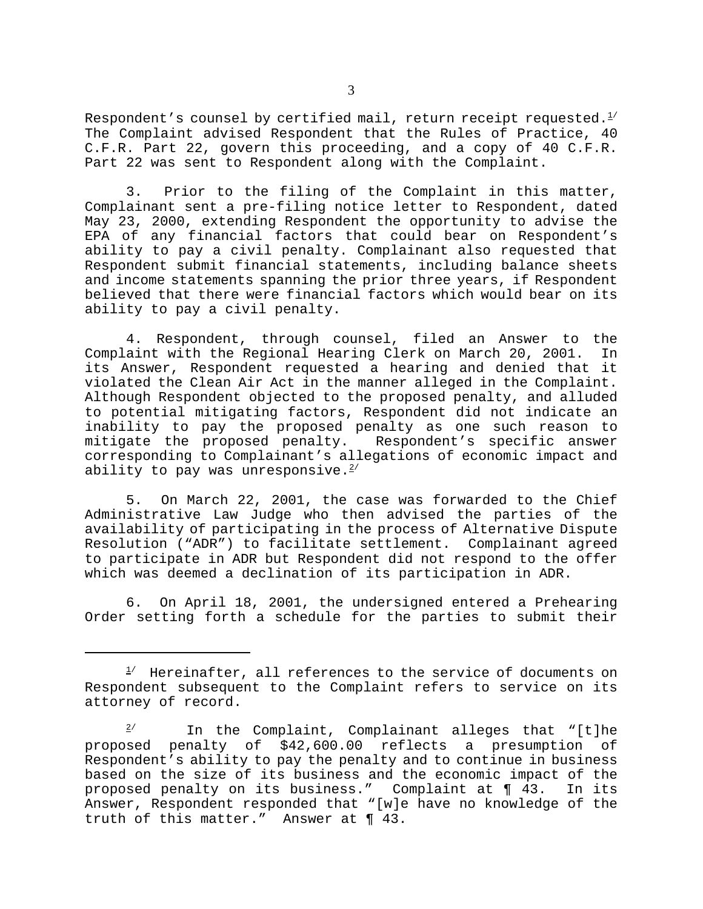Respondent's counsel by certified mail, return receipt requested. $1/2$ The Complaint advised Respondent that the Rules of Practice, 40 C.F.R. Part 22, govern this proceeding, and a copy of 40 C.F.R. Part 22 was sent to Respondent along with the Complaint.

3. Prior to the filing of the Complaint in this matter, Complainant sent a pre-filing notice letter to Respondent, dated May 23, 2000, extending Respondent the opportunity to advise the EPA of any financial factors that could bear on Respondent's ability to pay a civil penalty. Complainant also requested that Respondent submit financial statements, including balance sheets and income statements spanning the prior three years, if Respondent believed that there were financial factors which would bear on its ability to pay a civil penalty.

4. Respondent, through counsel, filed an Answer to the Complaint with the Regional Hearing Clerk on March 20, 2001. In its Answer, Respondent requested a hearing and denied that it violated the Clean Air Act in the manner alleged in the Complaint. Although Respondent objected to the proposed penalty, and alluded to potential mitigating factors, Respondent did not indicate an inability to pay the proposed penalty as one such reason to mitigate the proposed penalty. Respondent's specific answer corresponding to Complainant's allegations of economic impact and ability to pay was unresponsive. $2/2$ 

5. On March 22, 2001, the case was forwarded to the Chief Administrative Law Judge who then advised the parties of the availability of participating in the process of Alternative Dispute Resolution ("ADR") to facilitate settlement. Complainant agreed to participate in ADR but Respondent did not respond to the offer which was deemed a declination of its participation in ADR.

6. On April 18, 2001, the undersigned entered a Prehearing Order setting forth a schedule for the parties to submit their

 $1/$  Hereinafter, all references to the service of documents on Respondent subsequent to the Complaint refers to service on its attorney of record.

 $2/$  In the Complaint, Complainant alleges that "[t]he proposed penalty of \$42,600.00 reflects a presumption of Respondent's ability to pay the penalty and to continue in business based on the size of its business and the economic impact of the proposed penalty on its business." Complaint at ¶ 43. In its Answer, Respondent responded that "[w]e have no knowledge of the truth of this matter." Answer at ¶ 43.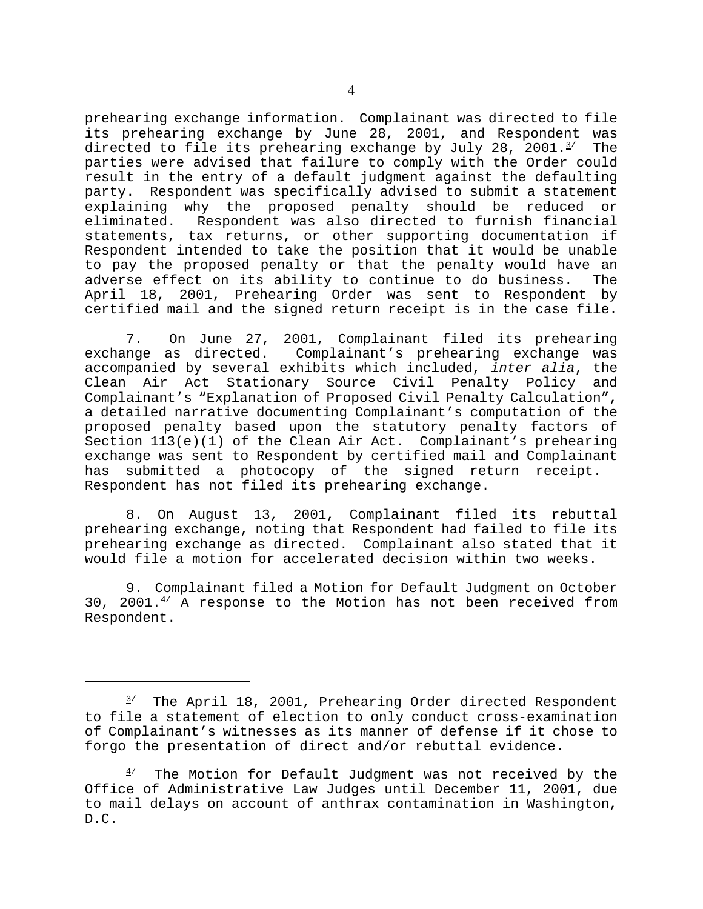prehearing exchange information. Complainant was directed to file its prehearing exchange by June 28, 2001, and Respondent was directed to file its prehearing exchange by July 28, 2001. $^{3/2}$  The parties were advised that failure to comply with the Order could result in the entry of a default judgment against the defaulting party. Respondent was specifically advised to submit a statement explaining why the proposed penalty should be reduced or eliminated. Respondent was also directed to furnish financial statements, tax returns, or other supporting documentation if Respondent intended to take the position that it would be unable to pay the proposed penalty or that the penalty would have an adverse effect on its ability to continue to do business. The April 18, 2001, Prehearing Order was sent to Respondent by certified mail and the signed return receipt is in the case file.

7. On June 27, 2001, Complainant filed its prehearing exchange as directed. Complainant's prehearing exchange was accompanied by several exhibits which included, *inter alia*, the Clean Air Act Stationary Source Civil Penalty Policy and Complainant's "Explanation of Proposed Civil Penalty Calculation", a detailed narrative documenting Complainant's computation of the proposed penalty based upon the statutory penalty factors of Section 113(e)(1) of the Clean Air Act. Complainant's prehearing exchange was sent to Respondent by certified mail and Complainant has submitted a photocopy of the signed return receipt. Respondent has not filed its prehearing exchange.

8. On August 13, 2001, Complainant filed its rebuttal prehearing exchange, noting that Respondent had failed to file its prehearing exchange as directed. Complainant also stated that it would file a motion for accelerated decision within two weeks.

9. Complainant filed a Motion for Default Judgment on October 30, 2001. $4'$  A response to the Motion has not been received from Respondent.

 $3'$  The April 18, 2001, Prehearing Order directed Respondent to file a statement of election to only conduct cross-examination of Complainant's witnesses as its manner of defense if it chose to forgo the presentation of direct and/or rebuttal evidence.

The Motion for Default Judgment was not received by the Office of Administrative Law Judges until December 11, 2001, due to mail delays on account of anthrax contamination in Washington, D.C.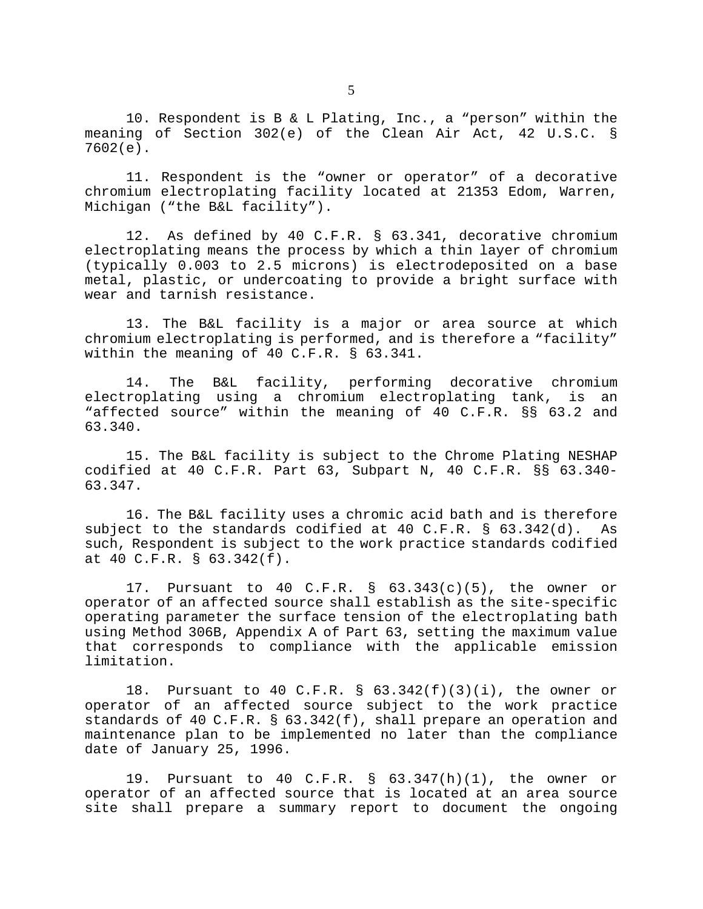10. Respondent is B & L Plating, Inc., a "person" within the meaning of Section 302(e) of the Clean Air Act, 42 U.S.C. § 7602(e).

11. Respondent is the "owner or operator" of a decorative chromium electroplating facility located at 21353 Edom, Warren, Michigan ("the B&L facility").

12. As defined by 40 C.F.R. § 63.341, decorative chromium electroplating means the process by which a thin layer of chromium (typically 0.003 to 2.5 microns) is electrodeposited on a base metal, plastic, or undercoating to provide a bright surface with wear and tarnish resistance.

13. The B&L facility is a major or area source at which chromium electroplating is performed, and is therefore a "facility" within the meaning of 40 C.F.R. § 63.341.

14. The B&L facility, performing decorative chromium electroplating using a chromium electroplating tank, is an "affected source" within the meaning of 40 C.F.R. §§ 63.2 and 63.340.

15. The B&L facility is subject to the Chrome Plating NESHAP codified at 40 C.F.R. Part 63, Subpart N, 40 C.F.R. §§ 63.340- 63.347.

16. The B&L facility uses a chromic acid bath and is therefore subject to the standards codified at 40 C.F.R. § 63.342(d). As such, Respondent is subject to the work practice standards codified at 40 C.F.R. § 63.342(f).

17. Pursuant to 40 C.F.R.  $\S$  63.343(c)(5), the owner or operator of an affected source shall establish as the site-specific operating parameter the surface tension of the electroplating bath using Method 306B, Appendix A of Part 63, setting the maximum value that corresponds to compliance with the applicable emission limitation.

18. Pursuant to 40 C.F.R. § 63.342(f)(3)(i), the owner or operator of an affected source subject to the work practice standards of 40 C.F.R. § 63.342(f), shall prepare an operation and maintenance plan to be implemented no later than the compliance date of January 25, 1996.

19. Pursuant to 40 C.F.R. § 63.347(h)(1), the owner or operator of an affected source that is located at an area source site shall prepare a summary report to document the ongoing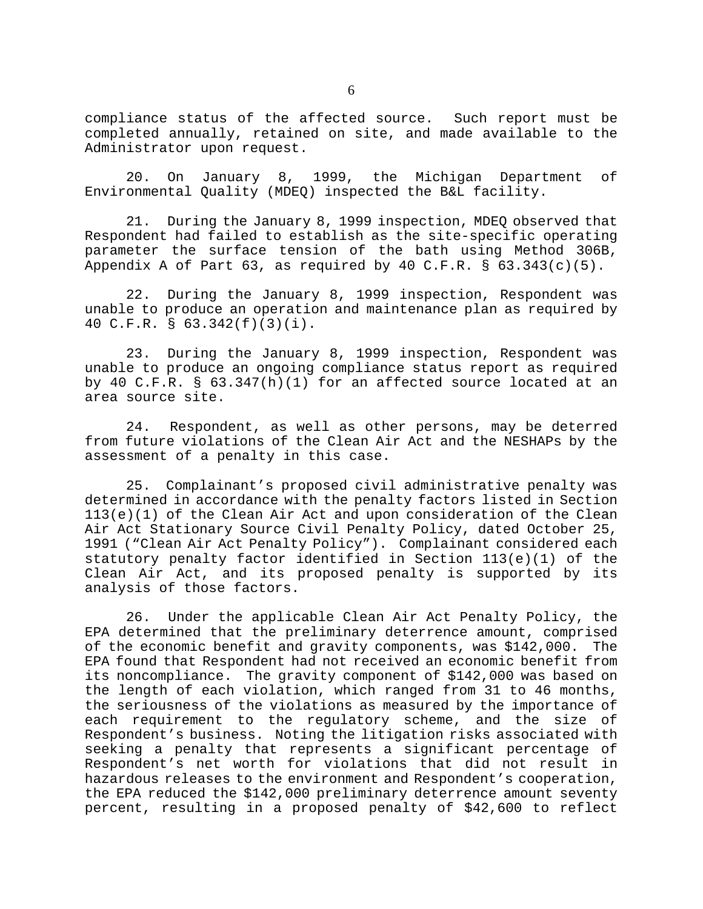compliance status of the affected source. Such report must be completed annually, retained on site, and made available to the Administrator upon request.

20. On January 8, 1999, the Michigan Department of Environmental Quality (MDEQ) inspected the B&L facility.

21. During the January 8, 1999 inspection, MDEQ observed that Respondent had failed to establish as the site-specific operating parameter the surface tension of the bath using Method 306B, Appendix A of Part 63, as required by 40 C.F.R.  $\S$  63.343(c)(5).

22. During the January 8, 1999 inspection, Respondent was unable to produce an operation and maintenance plan as required by 40 C.F.R. § 63.342(f)(3)(i).

23. During the January 8, 1999 inspection, Respondent was unable to produce an ongoing compliance status report as required by 40 C.F.R. § 63.347(h)(1) for an affected source located at an area source site.

24. Respondent, as well as other persons, may be deterred from future violations of the Clean Air Act and the NESHAPs by the assessment of a penalty in this case.

25. Complainant's proposed civil administrative penalty was determined in accordance with the penalty factors listed in Section 113(e)(1) of the Clean Air Act and upon consideration of the Clean Air Act Stationary Source Civil Penalty Policy, dated October 25, 1991 ("Clean Air Act Penalty Policy"). Complainant considered each statutory penalty factor identified in Section 113(e)(1) of the Clean Air Act, and its proposed penalty is supported by its analysis of those factors.

26. Under the applicable Clean Air Act Penalty Policy, the EPA determined that the preliminary deterrence amount, comprised of the economic benefit and gravity components, was \$142,000. The EPA found that Respondent had not received an economic benefit from its noncompliance. The gravity component of \$142,000 was based on the length of each violation, which ranged from 31 to 46 months, the seriousness of the violations as measured by the importance of each requirement to the regulatory scheme, and the size of Respondent's business. Noting the litigation risks associated with seeking a penalty that represents a significant percentage of Respondent's net worth for violations that did not result in hazardous releases to the environment and Respondent's cooperation, the EPA reduced the \$142,000 preliminary deterrence amount seventy percent, resulting in a proposed penalty of \$42,600 to reflect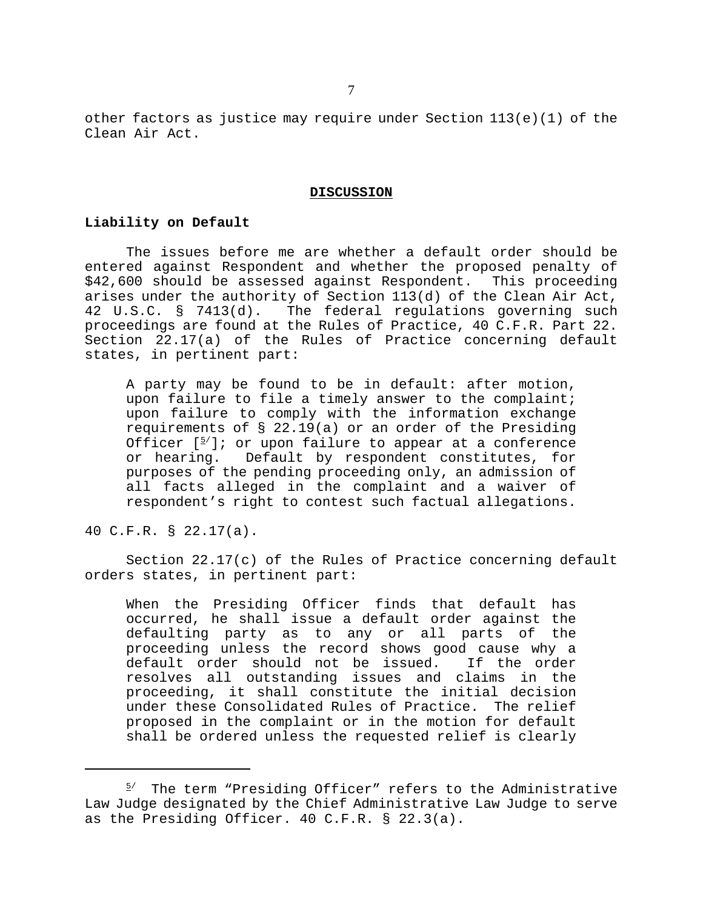other factors as justice may require under Section 113(e)(1) of the Clean Air Act.

#### **DISCUSSION**

### **Liability on Default**

The issues before me are whether a default order should be entered against Respondent and whether the proposed penalty of \$42,600 should be assessed against Respondent. This proceeding arises under the authority of Section 113(d) of the Clean Air Act, 42 U.S.C. § 7413(d). The federal regulations governing such proceedings are found at the Rules of Practice, 40 C.F.R. Part 22. Section 22.17(a) of the Rules of Practice concerning default states, in pertinent part:

A party may be found to be in default: after motion, upon failure to file a timely answer to the complaint; upon failure to comply with the information exchange requirements of § 22.19(a) or an order of the Presiding Officer  $[5]$ ; or upon failure to appear at a conference or hearing. Default by respondent constitutes, for purposes of the pending proceeding only, an admission of all facts alleged in the complaint and a waiver of respondent's right to contest such factual allegations.

40 C.F.R. § 22.17(a).

Section 22.17(c) of the Rules of Practice concerning default orders states, in pertinent part:

When the Presiding Officer finds that default has occurred, he shall issue a default order against the defaulting party as to any or all parts of the proceeding unless the record shows good cause why a default order should not be issued. If the order resolves all outstanding issues and claims in the proceeding, it shall constitute the initial decision under these Consolidated Rules of Practice. The relief proposed in the complaint or in the motion for default shall be ordered unless the requested relief is clearly

 $5'$  The term "Presiding Officer" refers to the Administrative Law Judge designated by the Chief Administrative Law Judge to serve as the Presiding Officer. 40 C.F.R. § 22.3(a).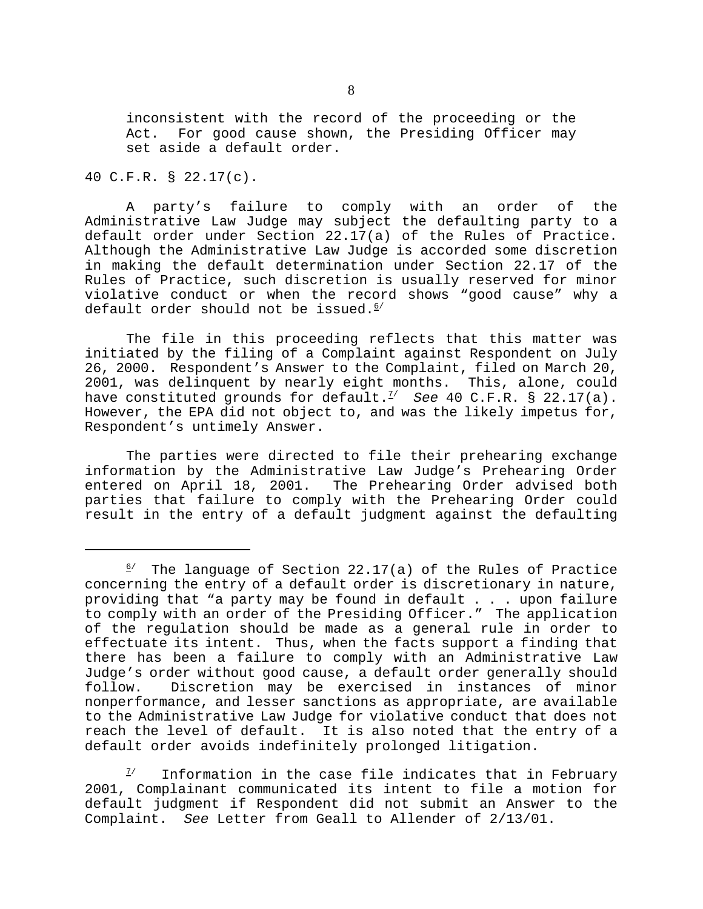inconsistent with the record of the proceeding or the Act. For good cause shown, the Presiding Officer may set aside a default order.

## 40 C.F.R. § 22.17(c).

A party's failure to comply with an order of the Administrative Law Judge may subject the defaulting party to a default order under Section 22.17(a) of the Rules of Practice. Although the Administrative Law Judge is accorded some discretion in making the default determination under Section 22.17 of the Rules of Practice, such discretion is usually reserved for minor violative conduct or when the record shows "good cause" why a default order should not be issued. $6/$ 

The file in this proceeding reflects that this matter was initiated by the filing of a Complaint against Respondent on July 26, 2000. Respondent's Answer to the Complaint, filed on March 20, 2001, was delinquent by nearly eight months. This, alone, could have constituted grounds for default.<sup>7/</sup> See 40 C.F.R. § 22.17(a). However, the EPA did not object to, and was the likely impetus for, Respondent's untimely Answer.

The parties were directed to file their prehearing exchange information by the Administrative Law Judge's Prehearing Order entered on April 18, 2001. The Prehearing Order advised both parties that failure to comply with the Prehearing Order could result in the entry of a default judgment against the defaulting

Information in the case file indicates that in February 2001, Complainant communicated its intent to file a motion for default judgment if Respondent did not submit an Answer to the Complaint. *See* Letter from Geall to Allender of 2/13/01.

 $6/$  The language of Section 22.17(a) of the Rules of Practice concerning the entry of a default order is discretionary in nature, providing that "a party may be found in default . . . upon failure to comply with an order of the Presiding Officer." The application of the regulation should be made as a general rule in order to effectuate its intent. Thus, when the facts support a finding that there has been a failure to comply with an Administrative Law Judge's order without good cause, a default order generally should follow. Discretion may be exercised in instances of minor nonperformance, and lesser sanctions as appropriate, are available to the Administrative Law Judge for violative conduct that does not reach the level of default. It is also noted that the entry of a default order avoids indefinitely prolonged litigation.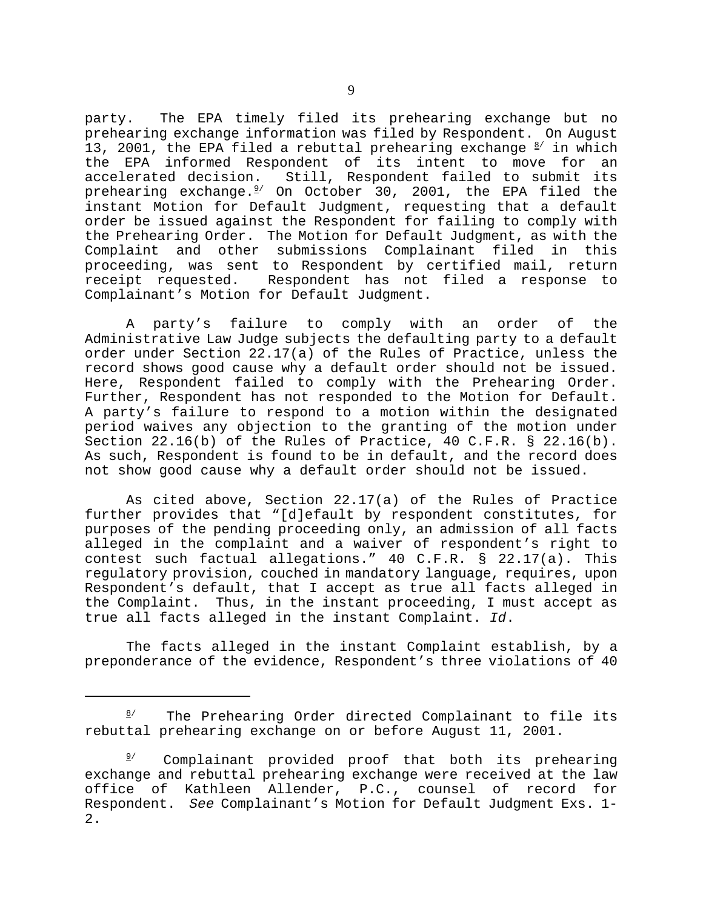party. The EPA timely filed its prehearing exchange but no prehearing exchange information was filed by Respondent. On August 13, 2001, the EPA filed a rebuttal prehearing exchange  $\frac{8}{ }$  in which the EPA informed Respondent of its intent to move for an<br>accelerated decision. Still, Respondent failed to submit its Still, Respondent failed to submit its prehearing exchange. $^{2/-}$  On October 30, 2001, the EPA filed the instant Motion for Default Judgment, requesting that a default order be issued against the Respondent for failing to comply with the Prehearing Order. The Motion for Default Judgment, as with the Complaint and other submissions Complainant filed in this proceeding, was sent to Respondent by certified mail, return receipt requested. Respondent has not filed a response to Complainant's Motion for Default Judgment.

A party's failure to comply with an order of the Administrative Law Judge subjects the defaulting party to a default order under Section 22.17(a) of the Rules of Practice, unless the record shows good cause why a default order should not be issued. Here, Respondent failed to comply with the Prehearing Order. Further, Respondent has not responded to the Motion for Default. A party's failure to respond to a motion within the designated period waives any objection to the granting of the motion under Section 22.16(b) of the Rules of Practice, 40 C.F.R. § 22.16(b). As such, Respondent is found to be in default, and the record does not show good cause why a default order should not be issued.

As cited above, Section 22.17(a) of the Rules of Practice further provides that "[d]efault by respondent constitutes, for purposes of the pending proceeding only, an admission of all facts alleged in the complaint and a waiver of respondent's right to contest such factual allegations." 40 C.F.R. § 22.17(a). This regulatory provision, couched in mandatory language, requires, upon Respondent's default, that I accept as true all facts alleged in the Complaint. Thus, in the instant proceeding, I must accept as true all facts alleged in the instant Complaint. *Id*.

The facts alleged in the instant Complaint establish, by a preponderance of the evidence, Respondent's three violations of 40

The Prehearing Order directed Complainant to file its rebuttal prehearing exchange on or before August 11, 2001.

 $9'$  Complainant provided proof that both its prehearing exchange and rebuttal prehearing exchange were received at the law office of Kathleen Allender, P.C., counsel of record for Respondent. *See* Complainant's Motion for Default Judgment Exs. 1- 2.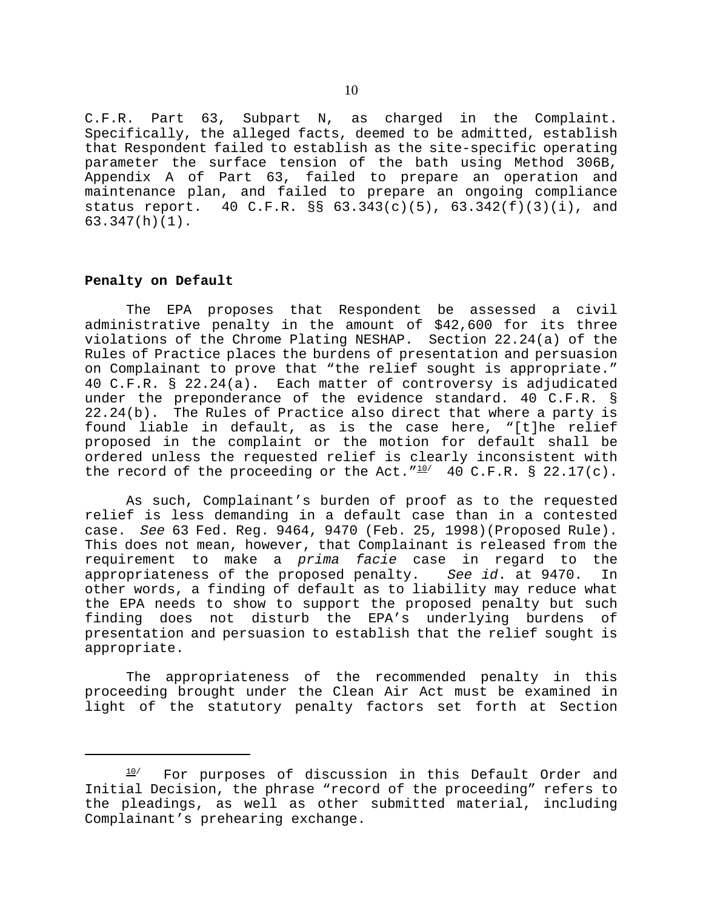C.F.R. Part 63, Subpart N, as charged in the Complaint. Specifically, the alleged facts, deemed to be admitted, establish that Respondent failed to establish as the site-specific operating parameter the surface tension of the bath using Method 306B, Appendix A of Part 63, failed to prepare an operation and maintenance plan, and failed to prepare an ongoing compliance status report. 40 C.F.R. §§  $63.343(c)(5)$ ,  $63.342(f)(3)(i)$ , and 63.347(h)(1).

## **Penalty on Default**

The EPA proposes that Respondent be assessed a civil administrative penalty in the amount of \$42,600 for its three violations of the Chrome Plating NESHAP. Section 22.24(a) of the Rules of Practice places the burdens of presentation and persuasion on Complainant to prove that "the relief sought is appropriate." 40 C.F.R. § 22.24(a). Each matter of controversy is adjudicated under the preponderance of the evidence standard. 40 C.F.R. § 22.24(b). The Rules of Practice also direct that where a party is found liable in default, as is the case here, "[t]he relief proposed in the complaint or the motion for default shall be ordered unless the requested relief is clearly inconsistent with the record of the proceeding or the Act." $10/$  40 C.F.R. § 22.17(c).

As such, Complainant's burden of proof as to the requested relief is less demanding in a default case than in a contested case. *See* 63 Fed. Reg. 9464, 9470 (Feb. 25, 1998)(Proposed Rule). This does not mean, however, that Complainant is released from the requirement to make a *prima facie* case in regard to the appropriateness of the proposed penalty. *See id*. at 9470. In other words, a finding of default as to liability may reduce what the EPA needs to show to support the proposed penalty but such finding does not disturb the EPA's underlying burdens of presentation and persuasion to establish that the relief sought is appropriate.

The appropriateness of the recommended penalty in this proceeding brought under the Clean Air Act must be examined in light of the statutory penalty factors set forth at Section

 $10$ / For purposes of discussion in this Default Order and Initial Decision, the phrase "record of the proceeding" refers to the pleadings, as well as other submitted material, including Complainant's prehearing exchange.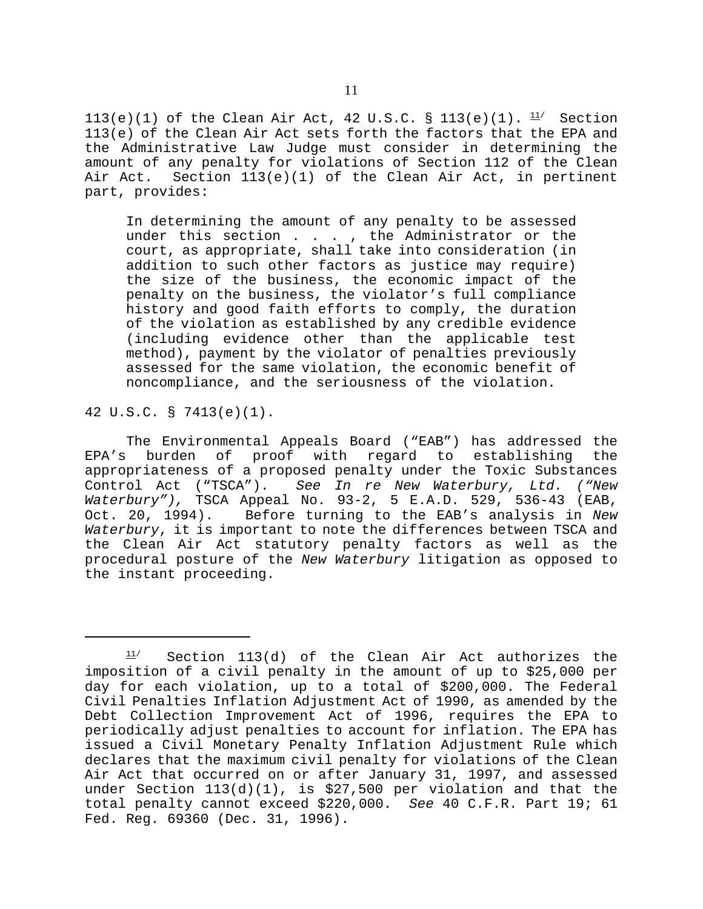113(e)(1) of the Clean Air Act, 42 U.S.C. § 113(e)(1).  $\frac{11}{1}$  Section 113(e) of the Clean Air Act sets forth the factors that the EPA and the Administrative Law Judge must consider in determining the amount of any penalty for violations of Section 112 of the Clean Air Act. Section 113(e)(1) of the Clean Air Act, in pertinent part, provides:

In determining the amount of any penalty to be assessed under this section . . . , the Administrator or the court, as appropriate, shall take into consideration (in addition to such other factors as justice may require) the size of the business, the economic impact of the penalty on the business, the violator's full compliance history and good faith efforts to comply, the duration of the violation as established by any credible evidence (including evidence other than the applicable test method), payment by the violator of penalties previously assessed for the same violation, the economic benefit of noncompliance, and the seriousness of the violation.

42 U.S.C. § 7413(e)(1).

The Environmental Appeals Board ("EAB") has addressed the EPA's burden of proof with regard to establishing the appropriateness of a proposed penalty under the Toxic Substances Control Act ("TSCA"). *See In re New Waterbury, Ltd. ("New Waterbury"),* TSCA Appeal No. 93-2, 5 E.A.D. 529, 536-43 (EAB, Oct. 20, 1994). Before turning to the EAB's analysis in *New Waterbury*, it is important to note the differences between TSCA and the Clean Air Act statutory penalty factors as well as the procedural posture of the *New Waterbury* litigation as opposed to the instant proceeding.

 $11/$  Section 113(d) of the Clean Air Act authorizes the imposition of a civil penalty in the amount of up to \$25,000 per day for each violation, up to a total of \$200,000. The Federal Civil Penalties Inflation Adjustment Act of 1990, as amended by the Debt Collection Improvement Act of 1996, requires the EPA to periodically adjust penalties to account for inflation. The EPA has issued a Civil Monetary Penalty Inflation Adjustment Rule which declares that the maximum civil penalty for violations of the Clean Air Act that occurred on or after January 31, 1997, and assessed under Section 113(d)(1), is \$27,500 per violation and that the total penalty cannot exceed \$220,000. *See* 40 C.F.R. Part 19; 61 Fed. Reg. 69360 (Dec. 31, 1996).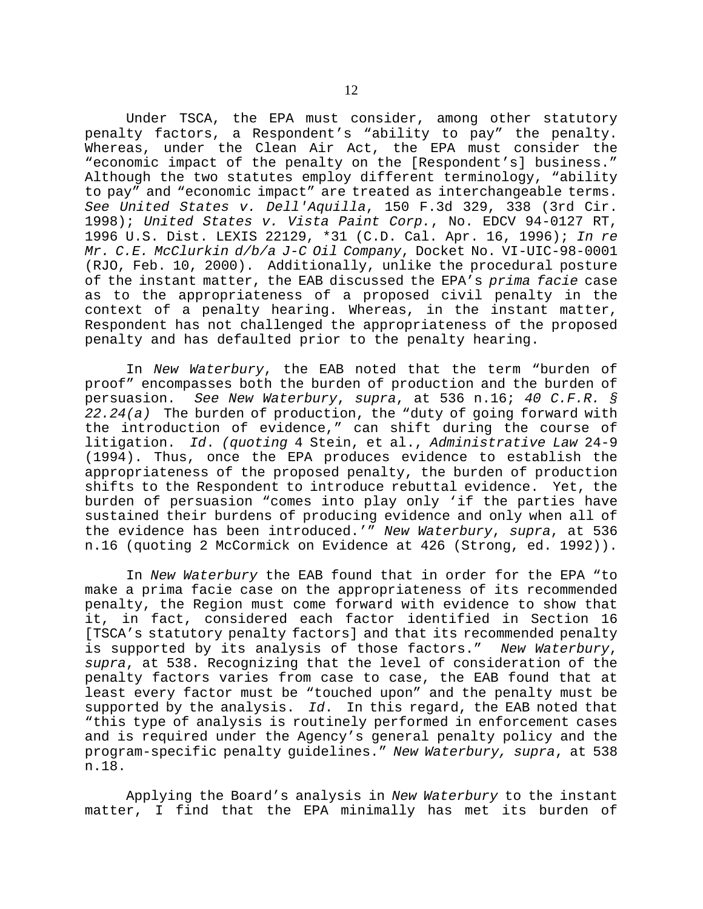Under TSCA, the EPA must consider, among other statutory penalty factors, a Respondent's "ability to pay" the penalty. Whereas, under the Clean Air Act, the EPA must consider the "economic impact of the penalty on the [Respondent's] business." Although the two statutes employ different terminology, "ability to pay" and "economic impact" are treated as interchangeable terms. *See United States v. Dell'Aquilla*, 150 F.3d 329, 338 (3rd Cir. 1998); *United States v. Vista Paint Corp.*, No. EDCV 94-0127 RT, 1996 U.S. Dist. LEXIS 22129, \*31 (C.D. Cal. Apr. 16, 1996); *In re Mr. C.E. McClurkin d/b/a J-C Oil Company*, Docket No. VI-UIC-98-0001 (RJO, Feb. 10, 2000). Additionally, unlike the procedural posture of the instant matter, the EAB discussed the EPA's *prima facie* case as to the appropriateness of a proposed civil penalty in the context of a penalty hearing. Whereas, in the instant matter, Respondent has not challenged the appropriateness of the proposed penalty and has defaulted prior to the penalty hearing.

In *New Waterbury*, the EAB noted that the term "burden of proof" encompasses both the burden of production and the burden of persuasion. *See New Waterbury*, *supra*, at 536 n.16; *40 C.F.R. § 22.24(a)* The burden of production, the "duty of going forward with the introduction of evidence," can shift during the course of litigation. *Id*. *(quoting* 4 Stein, et al., *Administrative Law* 24-9 (1994). Thus, once the EPA produces evidence to establish the appropriateness of the proposed penalty, the burden of production shifts to the Respondent to introduce rebuttal evidence. Yet, the burden of persuasion "comes into play only 'if the parties have sustained their burdens of producing evidence and only when all of the evidence has been introduced.'" *New Waterbury*, *supra*, at 536 n.16 (quoting 2 McCormick on Evidence at 426 (Strong, ed. 1992)).

In *New Waterbury* the EAB found that in order for the EPA "to make a prima facie case on the appropriateness of its recommended penalty, the Region must come forward with evidence to show that it, in fact, considered each factor identified in Section 16 [TSCA's statutory penalty factors] and that its recommended penalty is supported by its analysis of those factors." *New Waterbury*, *supra*, at 538. Recognizing that the level of consideration of the penalty factors varies from case to case, the EAB found that at least every factor must be "touched upon" and the penalty must be supported by the analysis. *Id*. In this regard, the EAB noted that "this type of analysis is routinely performed in enforcement cases and is required under the Agency's general penalty policy and the program-specific penalty guidelines." *New Waterbury, supra*, at 538 n.18.

Applying the Board's analysis in *New Waterbury* to the instant matter, I find that the EPA minimally has met its burden of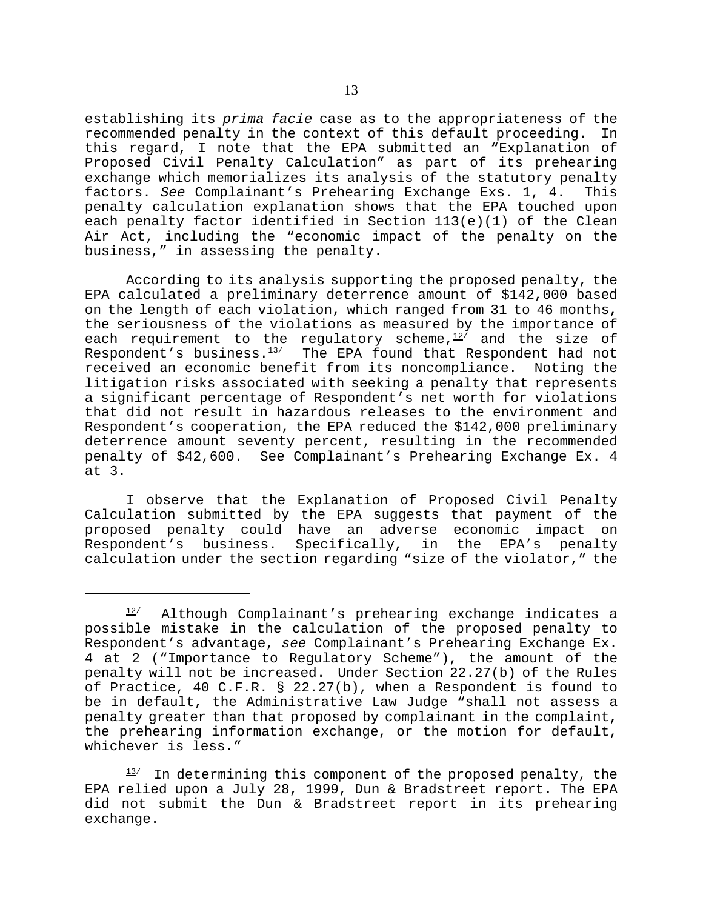establishing its *prima facie* case as to the appropriateness of the recommended penalty in the context of this default proceeding. In this regard, I note that the EPA submitted an "Explanation of Proposed Civil Penalty Calculation" as part of its prehearing exchange which memorializes its analysis of the statutory penalty factors. *See* Complainant's Prehearing Exchange Exs. 1, 4. This penalty calculation explanation shows that the EPA touched upon each penalty factor identified in Section 113(e)(1) of the Clean Air Act, including the "economic impact of the penalty on the business," in assessing the penalty.

According to its analysis supporting the proposed penalty, the EPA calculated a preliminary deterrence amount of \$142,000 based on the length of each violation, which ranged from 31 to 46 months, the seriousness of the violations as measured by the importance of each requirement to the regulatory scheme, $12/$  and the size of Respondent's business. $13/2$  The EPA found that Respondent had not received an economic benefit from its noncompliance. Noting the litigation risks associated with seeking a penalty that represents a significant percentage of Respondent's net worth for violations that did not result in hazardous releases to the environment and Respondent's cooperation, the EPA reduced the \$142,000 preliminary deterrence amount seventy percent, resulting in the recommended penalty of \$42,600. See Complainant's Prehearing Exchange Ex. 4 at 3.

I observe that the Explanation of Proposed Civil Penalty Calculation submitted by the EPA suggests that payment of the proposed penalty could have an adverse economic impact on<br>Respondent's business. Specifically, in the EPA's penalty Respondent's business. Specifically, in the EPA's penalty calculation under the section regarding "size of the violator," the

 $12/$  Although Complainant's prehearing exchange indicates a possible mistake in the calculation of the proposed penalty to Respondent's advantage, *see* Complainant's Prehearing Exchange Ex. 4 at 2 ("Importance to Regulatory Scheme"), the amount of the penalty will not be increased. Under Section 22.27(b) of the Rules of Practice, 40 C.F.R. § 22.27(b), when a Respondent is found to be in default, the Administrative Law Judge "shall not assess a penalty greater than that proposed by complainant in the complaint, the prehearing information exchange, or the motion for default, whichever is less."

 $13/$  In determining this component of the proposed penalty, the EPA relied upon a July 28, 1999, Dun & Bradstreet report. The EPA did not submit the Dun & Bradstreet report in its prehearing exchange.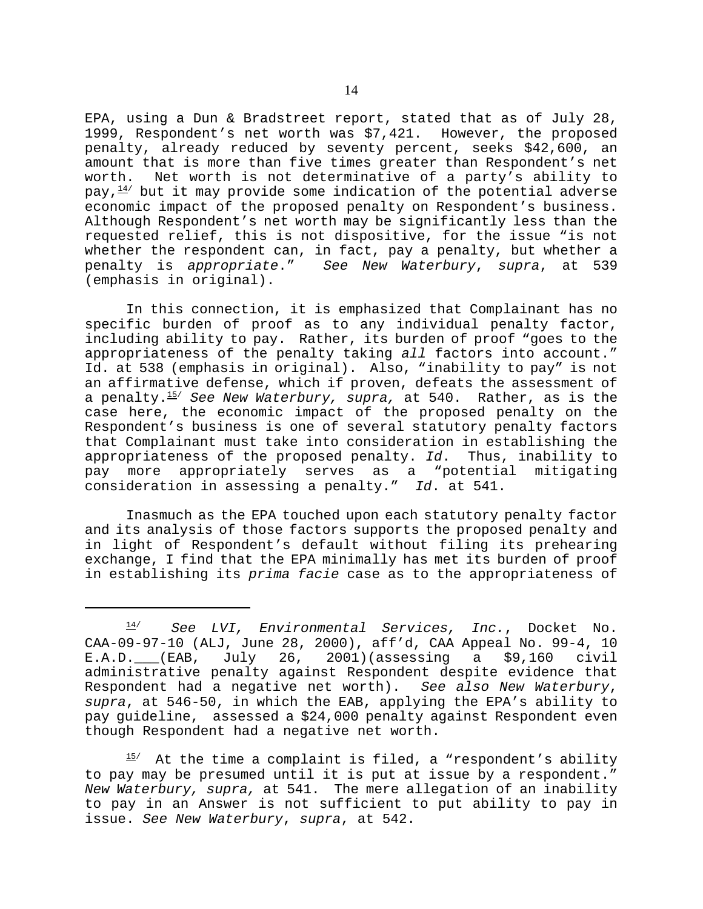EPA, using a Dun & Bradstreet report, stated that as of July 28, 1999, Respondent's net worth was \$7,421. However, the proposed penalty, already reduced by seventy percent, seeks \$42,600, an amount that is more than five times greater than Respondent's net worth. Net worth is not determinative of a party's ability to pay, $^{\bf 14\prime}$  but it may provide some indication of the potential adverse economic impact of the proposed penalty on Respondent's business. Although Respondent's net worth may be significantly less than the requested relief, this is not dispositive, for the issue "is not whether the respondent can, in fact, pay a penalty, but whether a<br>penalty is appropriate." See New Waterbury, supra, at 539 See New Waterbury, *supra*, at 539 (emphasis in original).

In this connection, it is emphasized that Complainant has no specific burden of proof as to any individual penalty factor, including ability to pay. Rather, its burden of proof "goes to the appropriateness of the penalty taking *all* factors into account." Id. at 538 (emphasis in original). Also, "inability to pay" is not an affirmative defense, which if proven, defeats the assessment of a penalty.15/ *See New Waterbury, supra,* at 540. Rather, as is the case here, the economic impact of the proposed penalty on the Respondent's business is one of several statutory penalty factors that Complainant must take into consideration in establishing the appropriateness of the proposed penalty. *Id*. Thus, inability to pay more appropriately serves as a "potential mitigating consideration in assessing a penalty." *Id*. at 541.

Inasmuch as the EPA touched upon each statutory penalty factor and its analysis of those factors supports the proposed penalty and in light of Respondent's default without filing its prehearing exchange, I find that the EPA minimally has met its burden of proof in establishing its *prima facie* case as to the appropriateness of

 $15/$  At the time a complaint is filed, a "respondent's ability to pay may be presumed until it is put at issue by a respondent." *New Waterbury, supra,* at 541. The mere allegation of an inability to pay in an Answer is not sufficient to put ability to pay in issue. *See New Waterbury*, *supra*, at 542.

<sup>14/</sup> *See LVI, Environmental Services, Inc.*, Docket No. CAA-09-97-10 (ALJ, June 28, 2000), aff'd, CAA Appeal No. 99-4, 10 E.A.D. (EAB, July 26, 2001)(assessing a \$9,160 civil administrative penalty against Respondent despite evidence that Respondent had a negative net worth). *See also New Waterbury*, *supra*, at 546-50, in which the EAB, applying the EPA's ability to pay guideline, assessed a \$24,000 penalty against Respondent even though Respondent had a negative net worth.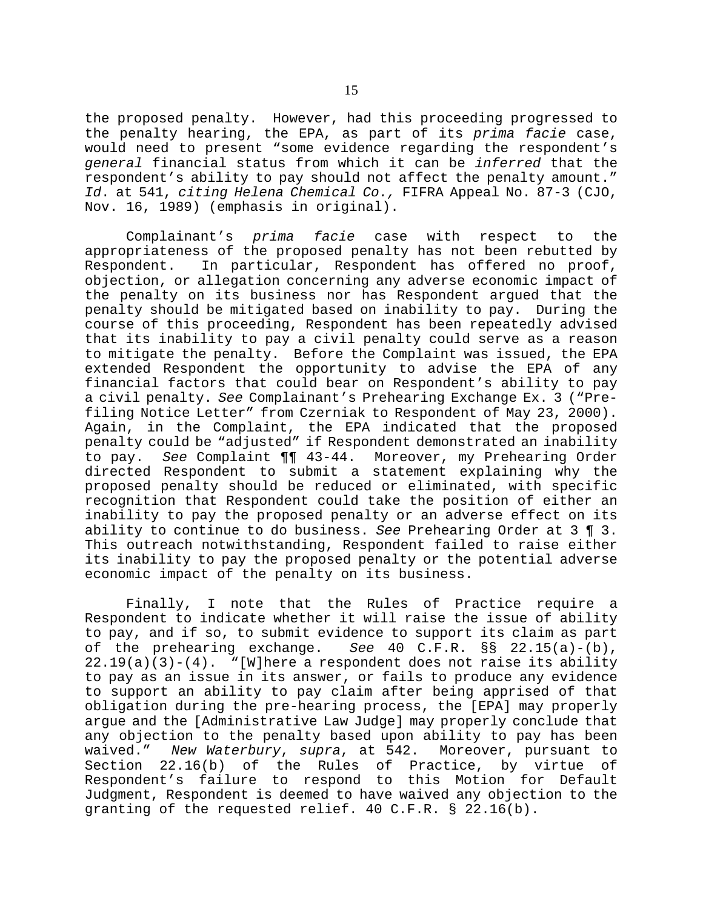the proposed penalty. However, had this proceeding progressed to the penalty hearing, the EPA, as part of its *prima facie* case, would need to present "some evidence regarding the respondent's *general* financial status from which it can be *inferred* that the respondent's ability to pay should not affect the penalty amount." *Id*. at 541, *citing Helena Chemical Co.,* FIFRA Appeal No. 87-3 (CJO, Nov. 16, 1989) (emphasis in original).

Complainant's *prima facie* case with respect to the appropriateness of the proposed penalty has not been rebutted by Respondent. In particular, Respondent has offered no proof, objection, or allegation concerning any adverse economic impact of the penalty on its business nor has Respondent argued that the penalty should be mitigated based on inability to pay. During the course of this proceeding, Respondent has been repeatedly advised that its inability to pay a civil penalty could serve as a reason to mitigate the penalty. Before the Complaint was issued, the EPA extended Respondent the opportunity to advise the EPA of any financial factors that could bear on Respondent's ability to pay a civil penalty. *See* Complainant's Prehearing Exchange Ex. 3 ("Prefiling Notice Letter" from Czerniak to Respondent of May 23, 2000). Again, in the Complaint, the EPA indicated that the proposed penalty could be "adjusted" if Respondent demonstrated an inability to pay. *See* Complaint ¶¶ 43-44. Moreover, my Prehearing Order directed Respondent to submit a statement explaining why the proposed penalty should be reduced or eliminated, with specific recognition that Respondent could take the position of either an inability to pay the proposed penalty or an adverse effect on its ability to continue to do business. *See* Prehearing Order at 3 ¶ 3. This outreach notwithstanding, Respondent failed to raise either its inability to pay the proposed penalty or the potential adverse economic impact of the penalty on its business.

Finally, I note that the Rules of Practice require a Respondent to indicate whether it will raise the issue of ability to pay, and if so, to submit evidence to support its claim as part of the prehearing exchange. *See* 40 C.F.R. §§ 22.15(a)-(b),  $22.19(a)(3)-(4)$ . "[W]here a respondent does not raise its ability to pay as an issue in its answer, or fails to produce any evidence to support an ability to pay claim after being apprised of that obligation during the pre-hearing process, the [EPA] may properly argue and the [Administrative Law Judge] may properly conclude that any objection to the penalty based upon ability to pay has been waived." *New Waterbury*, *supra*, at 542. Moreover, pursuant to Section 22.16(b) of the Rules of Practice, by virtue of Respondent's failure to respond to this Motion for Default Judgment, Respondent is deemed to have waived any objection to the granting of the requested relief. 40 C.F.R. § 22.16(b).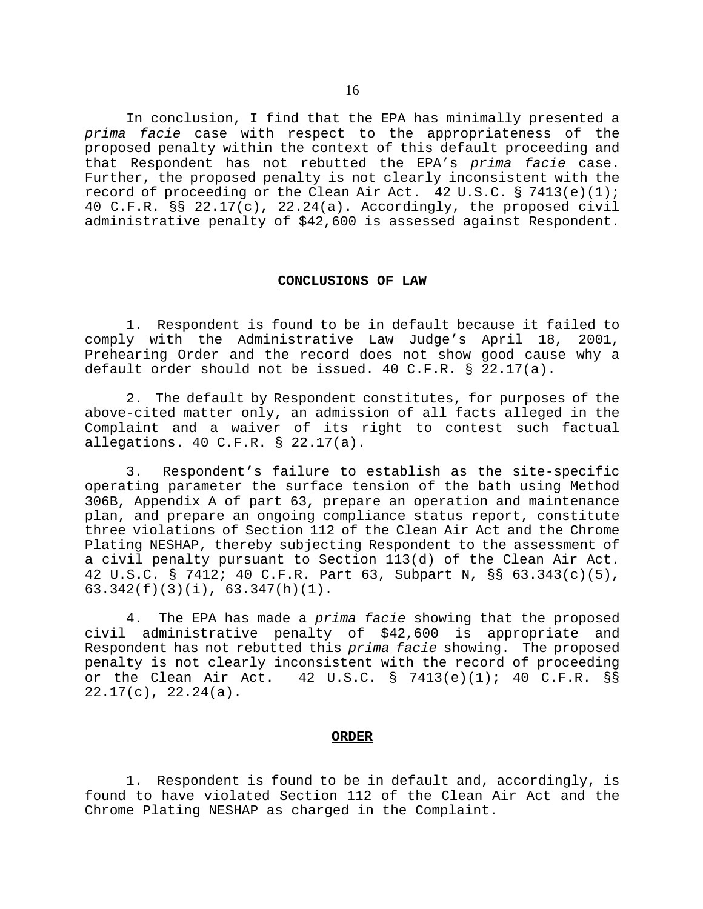In conclusion, I find that the EPA has minimally presented a *prima facie* case with respect to the appropriateness of the proposed penalty within the context of this default proceeding and that Respondent has not rebutted the EPA's *prima facie* case. Further, the proposed penalty is not clearly inconsistent with the record of proceeding or the Clean Air Act. 42 U.S.C. § 7413(e)(1); 40 C.F.R. §§ 22.17(c), 22.24(a). Accordingly, the proposed civil administrative penalty of \$42,600 is assessed against Respondent.

#### **CONCLUSIONS OF LAW**

1. Respondent is found to be in default because it failed to comply with the Administrative Law Judge's April 18, 2001, Prehearing Order and the record does not show good cause why a default order should not be issued. 40 C.F.R. § 22.17(a).

2. The default by Respondent constitutes, for purposes of the above-cited matter only, an admission of all facts alleged in the Complaint and a waiver of its right to contest such factual allegations. 40 C.F.R. § 22.17(a).

3. Respondent's failure to establish as the site-specific operating parameter the surface tension of the bath using Method 306B, Appendix A of part 63, prepare an operation and maintenance plan, and prepare an ongoing compliance status report, constitute three violations of Section 112 of the Clean Air Act and the Chrome Plating NESHAP, thereby subjecting Respondent to the assessment of a civil penalty pursuant to Section 113(d) of the Clean Air Act. 42 U.S.C. § 7412; 40 C.F.R. Part 63, Subpart N, §§ 63.343(c)(5), 63.342(f)(3)(i), 63.347(h)(1).

4. The EPA has made a *prima facie* showing that the proposed civil administrative penalty of \$42,600 is appropriate and Respondent has not rebutted this *prima facie* showing. The proposed penalty is not clearly inconsistent with the record of proceeding<br>or the Clean Air Act. 42 U.S.C. § 7413(e)(1); 40 C.F.R. §§ 42 U.S.C. § 7413(e)(1); 40 C.F.R. §§ 22.17(c), 22.24(a).

## **ORDER**

1. Respondent is found to be in default and, accordingly, is found to have violated Section 112 of the Clean Air Act and the Chrome Plating NESHAP as charged in the Complaint.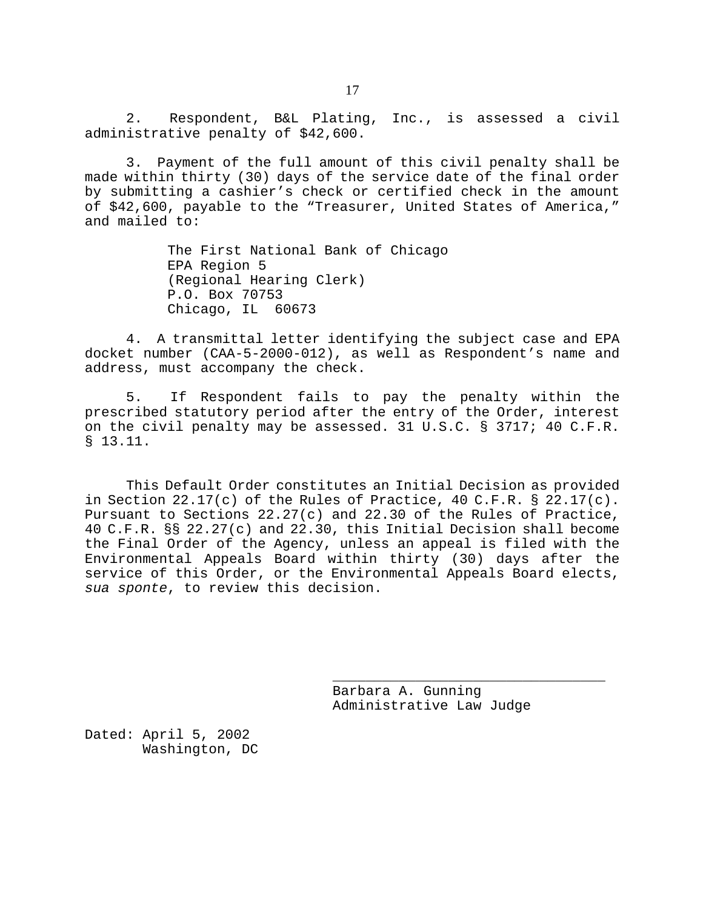2. Respondent, B&L Plating, Inc., is assessed a civil administrative penalty of \$42,600.

3. Payment of the full amount of this civil penalty shall be made within thirty (30) days of the service date of the final order by submitting a cashier's check or certified check in the amount of \$42,600, payable to the "Treasurer, United States of America," and mailed to:

> The First National Bank of Chicago EPA Region 5 (Regional Hearing Clerk) P.O. Box 70753 Chicago, IL 60673

4. A transmittal letter identifying the subject case and EPA docket number (CAA-5-2000-012), as well as Respondent's name and address, must accompany the check.

5. If Respondent fails to pay the penalty within the prescribed statutory period after the entry of the Order, interest on the civil penalty may be assessed. 31 U.S.C. § 3717; 40 C.F.R. § 13.11.

This Default Order constitutes an Initial Decision as provided in Section 22.17(c) of the Rules of Practice, 40 C.F.R.  $\S$  22.17(c). Pursuant to Sections 22.27(c) and 22.30 of the Rules of Practice, 40 C.F.R. §§ 22.27(c) and 22.30, this Initial Decision shall become the Final Order of the Agency, unless an appeal is filed with the Environmental Appeals Board within thirty (30) days after the service of this Order, or the Environmental Appeals Board elects, *sua sponte*, to review this decision.

> Barbara A. Gunning Administrative Law Judge

\_\_\_\_\_\_\_\_\_\_\_\_\_\_\_\_\_\_\_\_\_\_\_\_\_\_\_\_\_\_\_\_\_

Dated: April 5, 2002 Washington, DC